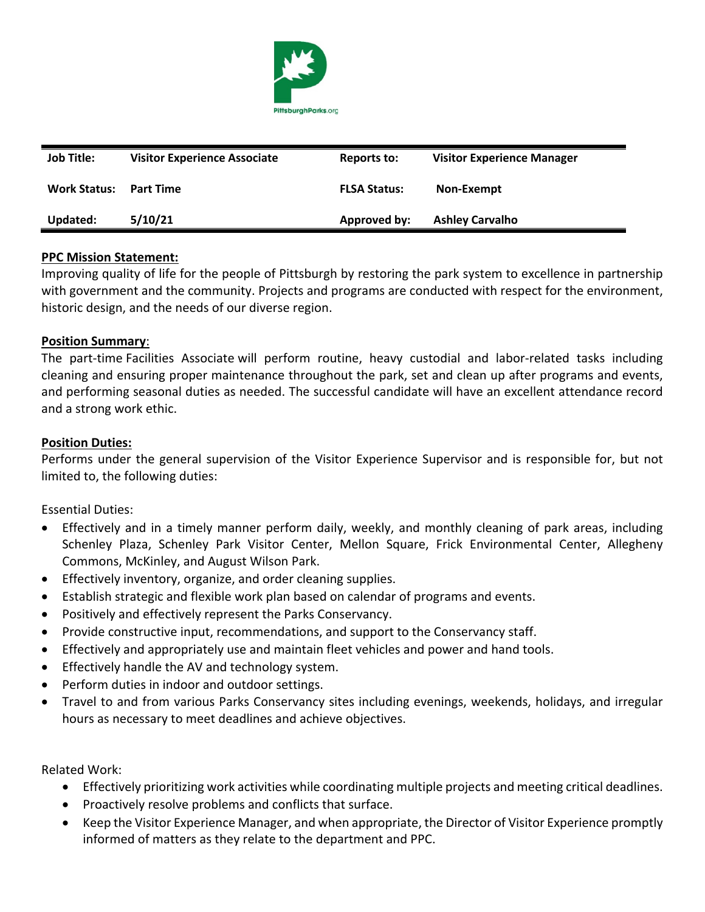

| <b>Job Title:</b>   | <b>Visitor Experience Associate</b> | Reports to:         | <b>Visitor Experience Manager</b> |
|---------------------|-------------------------------------|---------------------|-----------------------------------|
| <b>Work Status:</b> | <b>Part Time</b>                    | <b>FLSA Status:</b> | Non-Exempt                        |
| Updated:            | 5/10/21                             | Approved by:        | <b>Ashley Carvalho</b>            |

### **PPC Mission Statement:**

Improving quality of life for the people of Pittsburgh by restoring the park system to excellence in partnership with government and the community. Projects and programs are conducted with respect for the environment, historic design, and the needs of our diverse region.

### **Position Summary**:

The part-time Facilities Associate will perform routine, heavy custodial and labor-related tasks including cleaning and ensuring proper maintenance throughout the park, set and clean up after programs and events, and performing seasonal duties as needed. The successful candidate will have an excellent attendance record and a strong work ethic.

### **Position Duties:**

Performs under the general supervision of the Visitor Experience Supervisor and is responsible for, but not limited to, the following duties:

Essential Duties:

- Effectively and in a timely manner perform daily, weekly, and monthly cleaning of park areas, including Schenley Plaza, Schenley Park Visitor Center, Mellon Square, Frick Environmental Center, Allegheny Commons, McKinley, and August Wilson Park.
- Effectively inventory, organize, and order cleaning supplies.
- Establish strategic and flexible work plan based on calendar of programs and events.
- Positively and effectively represent the Parks Conservancy.
- Provide constructive input, recommendations, and support to the Conservancy staff.
- Effectively and appropriately use and maintain fleet vehicles and power and hand tools.
- Effectively handle the AV and technology system.
- Perform duties in indoor and outdoor settings.
- Travel to and from various Parks Conservancy sites including evenings, weekends, holidays, and irregular hours as necessary to meet deadlines and achieve objectives.

Related Work:

- Effectively prioritizing work activities while coordinating multiple projects and meeting critical deadlines.
- Proactively resolve problems and conflicts that surface.
- Keep the Visitor Experience Manager, and when appropriate, the Director of Visitor Experience promptly informed of matters as they relate to the department and PPC.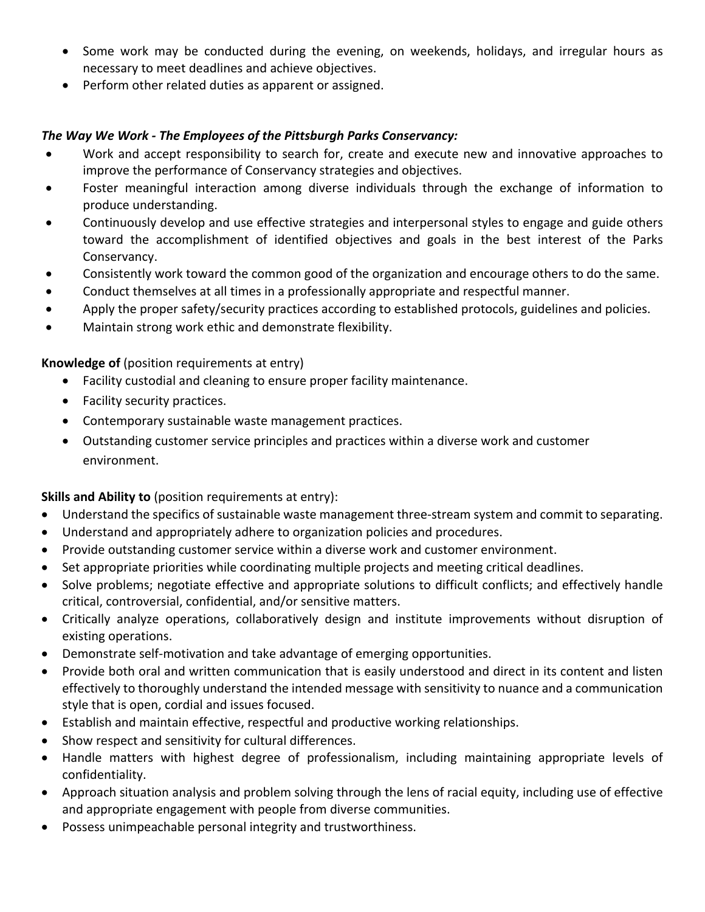- Some work may be conducted during the evening, on weekends, holidays, and irregular hours as necessary to meet deadlines and achieve objectives.
- Perform other related duties as apparent or assigned.

# *The Way We Work - The Employees of the Pittsburgh Parks Conservancy:*

- Work and accept responsibility to search for, create and execute new and innovative approaches to improve the performance of Conservancy strategies and objectives.
- Foster meaningful interaction among diverse individuals through the exchange of information to produce understanding.
- Continuously develop and use effective strategies and interpersonal styles to engage and guide others toward the accomplishment of identified objectives and goals in the best interest of the Parks Conservancy.
- Consistently work toward the common good of the organization and encourage others to do the same.
- Conduct themselves at all times in a professionally appropriate and respectful manner.
- Apply the proper safety/security practices according to established protocols, guidelines and policies.
- Maintain strong work ethic and demonstrate flexibility.

## **Knowledge of** (position requirements at entry)

- Facility custodial and cleaning to ensure proper facility maintenance.
- Facility security practices.
- Contemporary sustainable waste management practices.
- Outstanding customer service principles and practices within a diverse work and customer environment.

## **Skills and Ability to** (position requirements at entry):

- Understand the specifics of sustainable waste management three-stream system and commit to separating.
- Understand and appropriately adhere to organization policies and procedures.
- Provide outstanding customer service within a diverse work and customer environment.
- Set appropriate priorities while coordinating multiple projects and meeting critical deadlines.
- Solve problems; negotiate effective and appropriate solutions to difficult conflicts; and effectively handle critical, controversial, confidential, and/or sensitive matters.
- Critically analyze operations, collaboratively design and institute improvements without disruption of existing operations.
- Demonstrate self-motivation and take advantage of emerging opportunities.
- Provide both oral and written communication that is easily understood and direct in its content and listen effectively to thoroughly understand the intended message with sensitivity to nuance and a communication style that is open, cordial and issues focused.
- Establish and maintain effective, respectful and productive working relationships.
- Show respect and sensitivity for cultural differences.
- Handle matters with highest degree of professionalism, including maintaining appropriate levels of confidentiality.
- Approach situation analysis and problem solving through the lens of racial equity, including use of effective and appropriate engagement with people from diverse communities.
- Possess unimpeachable personal integrity and trustworthiness.